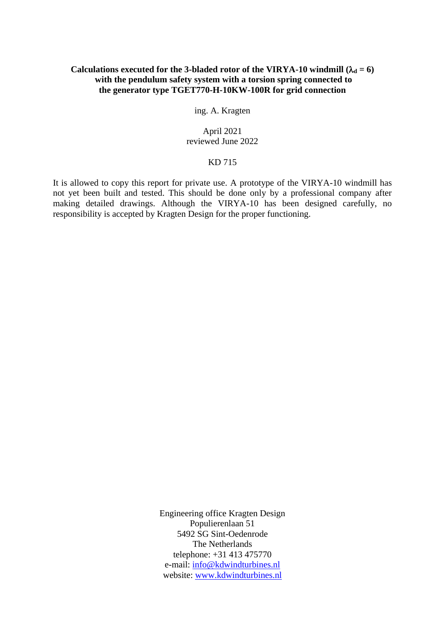# Calculations executed for the 3-bladed rotor of the VIRYA-10 windmill  $(\lambda_d = 6)$ **with the pendulum safety system with a torsion spring connected to the generator type TGET770-H-10KW-100R for grid connection**

ing. A. Kragten

## April 2021 reviewed June 2022

## KD 715

It is allowed to copy this report for private use. A prototype of the VIRYA-10 windmill has not yet been built and tested. This should be done only by a professional company after making detailed drawings. Although the VIRYA-10 has been designed carefully, no responsibility is accepted by Kragten Design for the proper functioning.

> Engineering office Kragten Design Populierenlaan 51 5492 SG Sint-Oedenrode The Netherlands telephone: +31 413 475770 e-mail: [info@kdwindturbines.nl](mailto:info@kdwindturbines.nl) website: [www.kdwindturbines.nl](http://www.kdwindturbines.nl/)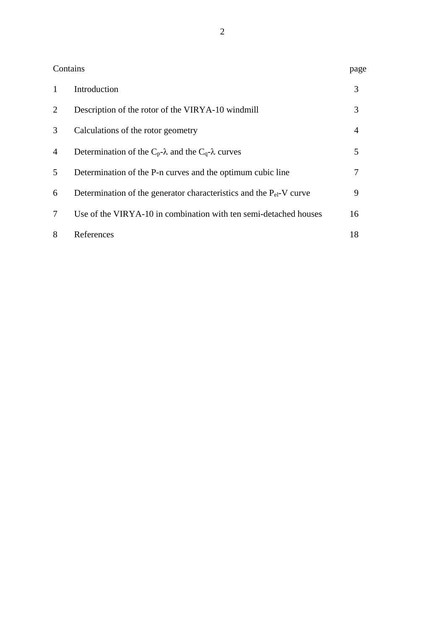|   | Contains                                                                 | page |
|---|--------------------------------------------------------------------------|------|
| 1 | Introduction                                                             | 3    |
| 2 | Description of the rotor of the VIRYA-10 windmill                        | 3    |
| 3 | Calculations of the rotor geometry                                       | 4    |
| 4 | Determination of the $C_p$ - $\lambda$ and the $C_q$ - $\lambda$ curves  | 5    |
| 5 | Determination of the P-n curves and the optimum cubic line               |      |
| 6 | Determination of the generator characteristics and the $P_{el}$ -V curve | 9    |
| 7 | Use of the VIRYA-10 in combination with ten semi-detached houses         | 16   |
| 8 | References                                                               | 18   |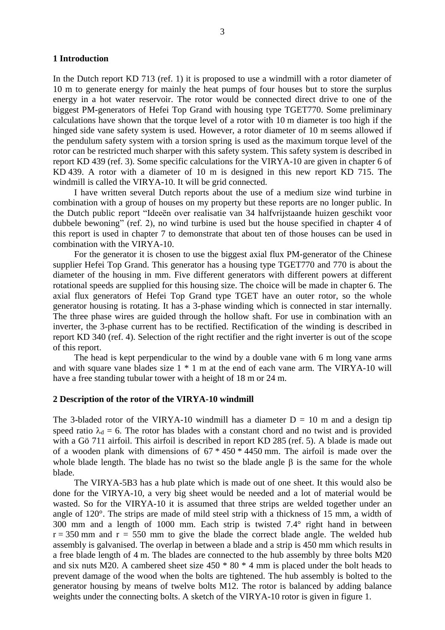#### **1 Introduction**

In the Dutch report KD 713 (ref. 1) it is proposed to use a windmill with a rotor diameter of 10 m to generate energy for mainly the heat pumps of four houses but to store the surplus energy in a hot water reservoir. The rotor would be connected direct drive to one of the biggest PM-generators of Hefei Top Grand with housing type TGET770. Some preliminary calculations have shown that the torque level of a rotor with 10 m diameter is too high if the hinged side vane safety system is used. However, a rotor diameter of 10 m seems allowed if the pendulum safety system with a torsion spring is used as the maximum torque level of the rotor can be restricted much sharper with this safety system. This safety system is described in report KD 439 (ref. 3). Some specific calculations for the VIRYA-10 are given in chapter 6 of KD 439. A rotor with a diameter of 10 m is designed in this new report KD 715. The windmill is called the VIRYA-10. It will be grid connected.

I have written several Dutch reports about the use of a medium size wind turbine in combination with a group of houses on my property but these reports are no longer public. In the Dutch public report "Ideeën over realisatie van 34 halfvrijstaande huizen geschikt voor dubbele bewoning" (ref. 2), no wind turbine is used but the house specified in chapter 4 of this report is used in chapter 7 to demonstrate that about ten of those houses can be used in combination with the VIRYA-10.

For the generator it is chosen to use the biggest axial flux PM-generator of the Chinese supplier Hefei Top Grand. This generator has a housing type TGET770 and 770 is about the diameter of the housing in mm. Five different generators with different powers at different rotational speeds are supplied for this housing size. The choice will be made in chapter 6. The axial flux generators of Hefei Top Grand type TGET have an outer rotor, so the whole generator housing is rotating. It has a 3-phase winding which is connected in star internally. The three phase wires are guided through the hollow shaft. For use in combination with an inverter, the 3-phase current has to be rectified. Rectification of the winding is described in report KD 340 (ref. 4). Selection of the right rectifier and the right inverter is out of the scope of this report.

The head is kept perpendicular to the wind by a double vane with 6 m long vane arms and with square vane blades size 1 \* 1 m at the end of each vane arm. The VIRYA-10 will have a free standing tubular tower with a height of 18 m or 24 m.

#### **2 Description of the rotor of the VIRYA-10 windmill**

The 3-bladed rotor of the VIRYA-10 windmill has a diameter  $D = 10$  m and a design tip speed ratio  $\lambda_d = 6$ . The rotor has blades with a constant chord and no twist and is provided with a Gö 711 airfoil. This airfoil is described in report KD 285 (ref. 5). A blade is made out of a wooden plank with dimensions of 67 \* 450 \* 4450 mm. The airfoil is made over the whole blade length. The blade has no twist so the blade angle  $\beta$  is the same for the whole blade.

The VIRYA-5B3 has a hub plate which is made out of one sheet. It this would also be done for the VIRYA-10, a very big sheet would be needed and a lot of material would be wasted. So for the VIRYA-10 it is assumed that three strips are welded together under an angle of 120°. The strips are made of mild steel strip with a thickness of 15 mm, a width of 300 mm and a length of 1000 mm. Each strip is twisted 7.4° right hand in between  $r = 350$  mm and  $r = 550$  mm to give the blade the correct blade angle. The welded hub assembly is galvanised. The overlap in between a blade and a strip is 450 mm which results in a free blade length of 4 m. The blades are connected to the hub assembly by three bolts M20 and six nuts M20. A cambered sheet size 450 \* 80 \* 4 mm is placed under the bolt heads to prevent damage of the wood when the bolts are tightened. The hub assembly is bolted to the generator housing by means of twelve bolts M12. The rotor is balanced by adding balance weights under the connecting bolts. A sketch of the VIRYA-10 rotor is given in figure 1.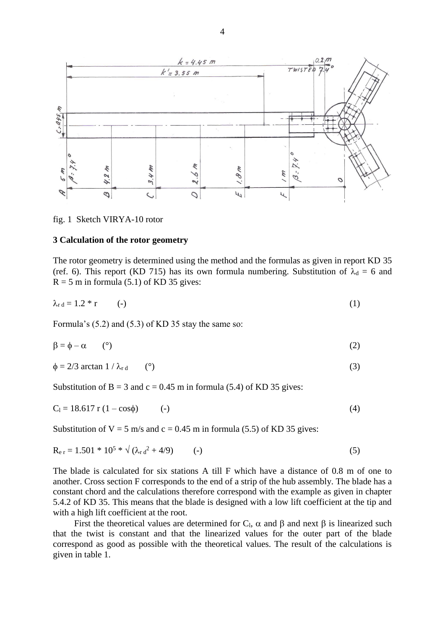

fig. 1 Sketch VIRYA-10 rotor

### **3 Calculation of the rotor geometry**

The rotor geometry is determined using the method and the formulas as given in report KD 35 (ref. 6). This report (KD 715) has its own formula numbering. Substitution of  $\lambda_d = 6$  and  $R = 5$  m in formula (5.1) of KD 35 gives:

$$
\lambda_{\rm rd} = 1.2 \cdot r \tag{1}
$$

Formula's (5.2) and (5.3) of KD 35 stay the same so:

$$
\beta = \phi - \alpha \tag{2}
$$

$$
\phi = 2/3 \arctan 1 / \lambda_{\rm rd} \qquad (°)
$$
 (3)

Substitution of  $B = 3$  and  $c = 0.45$  m in formula (5.4) of KD 35 gives:

$$
C_1 = 18.617 r (1 - cos\phi) \t (-)
$$
 (4)

Substitution of  $V = 5$  m/s and  $c = 0.45$  m in formula (5.5) of KD 35 gives:

$$
R_{\rm e r} = 1.501 * 10^5 * \sqrt{(\lambda_{\rm r} d^2 + 4/9)} \qquad (-)
$$
 (5)

The blade is calculated for six stations A till F which have a distance of 0.8 m of one to another. Cross section F corresponds to the end of a strip of the hub assembly. The blade has a constant chord and the calculations therefore correspond with the example as given in chapter 5.4.2 of KD 35. This means that the blade is designed with a low lift coefficient at the tip and with a high lift coefficient at the root.

First the theoretical values are determined for  $C_l$ ,  $\alpha$  and  $\beta$  and next  $\beta$  is linearized such that the twist is constant and that the linearized values for the outer part of the blade correspond as good as possible with the theoretical values. The result of the calculations is given in table 1.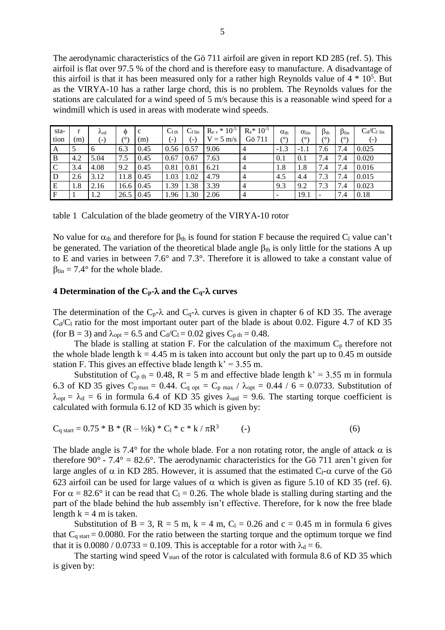The aerodynamic characteristics of the Gö 711 airfoil are given in report KD 285 (ref. 5). This airfoil is flat over 97.5 % of the chord and is therefore easy to manufacture. A disadvantage of this airfoil is that it has been measured only for a rather high Reynolds value of  $4 * 10<sup>5</sup>$ . But as the VIRYA-10 has a rather large chord, this is no problem. The Reynolds values for the stations are calculated for a wind speed of 5 m/s because this is a reasonable wind speed for a windmill which is used in areas with moderate wind speeds.

| sta-         | r   | $\lambda_{\rm rd}$ | Ф    | c    | $C_{1\text{ th}}$ | $C1$ lin | $R_{e\,r} * 10^{-5}$ | $R_e$ * 10 <sup>-5</sup> | $\alpha_{\text{th}}$     | $\alpha_{lin}$ | $\beta_{th}$ | $\beta_{lin}$ | $C_d/C_l$ lin |
|--------------|-----|--------------------|------|------|-------------------|----------|----------------------|--------------------------|--------------------------|----------------|--------------|---------------|---------------|
| tion         | (m) | $(-)$              | 70   | (m)  | $(-)$             | (-)      | $V = 5$ m/s          | Gö 711                   | (٥١                      | (٥١            | (٥١          | (°            | $(\text{-})$  |
| $\mathbf{A}$ |     | 6                  | 6.3  | 0.45 | 0.56              | 0.57     | 9.06                 | $\overline{4}$           | $-1.3$                   | $-1.1$         | 7.6          | 7.4           | 0.025         |
| B            | 4.2 | 5.04               | 7.5  | 0.45 | 0.67              | 0.67     | 7.63                 | $\overline{4}$           | 0.1                      | 0.1            | 7.4          | 7.4           | 0.020         |
| $\mathbf C$  | 3.4 | 4.08               | 9.2  | 0.45 | 0.81              | 0.81     | 6.21                 | $\overline{4}$           | 1.8                      | 1.8            | 7.4          | 7.4           | 0.016         |
| D            | 2.6 | 3.12               | 11.8 | 0.45 | 1.03              | 1.02     | 4.79                 | $\overline{4}$           | 4.5                      | 4.4            | 7.3          | 7.4           | 0.015         |
| E            | 1.8 | 2.16               | 16.6 | 0.45 | 1.39              | 1.38     | 3.39                 | $\overline{4}$           | 9.3                      | 9.2            | 7.3          | 7.4           | 0.023         |
| $\mathbf{F}$ |     | 1.2                | 26.5 | 0.45 | 1.96              | 1.30     | 2.06                 | $\overline{4}$           | $\overline{\phantom{a}}$ | 19.1           |              | 7.4           | 0.18          |

table 1 Calculation of the blade geometry of the VIRYA-10 rotor

No value for  $\alpha_{\text{th}}$  and therefore for  $\beta_{\text{th}}$  is found for station F because the required C<sub>l</sub> value can't be generated. The variation of the theoretical blade angle  $\beta_{th}$  is only little for the stations A up to E and varies in between 7.6° and 7.3°. Therefore it is allowed to take a constant value of  $\beta_{\text{lin}} = 7.4^{\circ}$  for the whole blade.

### **4 Determination of the**  $C_p$ **-** $\lambda$  **and the**  $C_q$ **-** $\lambda$  **curves**

The determination of the C<sub>p</sub>- $\lambda$  and C<sub>q</sub>- $\lambda$  curves is given in chapter 6 of KD 35. The average  $C_d/C_l$  ratio for the most important outer part of the blade is about 0.02. Figure 4.7 of KD 35 (for B = 3) and  $\lambda_{opt} = 6.5$  and  $C_d/C_l = 0.02$  gives  $C_{p \text{ th}} = 0.48$ .

The blade is stalling at station F. For the calculation of the maximum  $C_p$  therefore not the whole blade length  $k = 4.45$  m is taken into account but only the part up to 0.45 m outside station F. This gives an effective blade length  $k' = 3.55$  m.

Substitution of  $C_{p \text{ th}} = 0.48$ , R = 5 m and effective blade length k' = 3.55 m in formula 6.3 of KD 35 gives  $C_{p \max} = 0.44$ .  $C_{q \ opt} = C_{p \max} / \lambda_{opt} = 0.44 / 6 = 0.0733$ . Substitution of  $\lambda_{opt} = \lambda_d = 6$  in formula 6.4 of KD 35 gives  $\lambda_{unl} = 9.6$ . The starting torque coefficient is calculated with formula 6.12 of KD 35 which is given by:

$$
C_{q\,\text{start}} = 0.75 \,^* B \,^* (R - \frac{1}{2}k) \,^* C_1 \,^* c \,^* k / \pi R^3 \tag{6}
$$

The blade angle is 7.4° for the whole blade. For a non rotating rotor, the angle of attack  $\alpha$  is therefore 90 $^{\circ}$  - 7.4 $^{\circ}$  = 82.6 $^{\circ}$ . The aerodynamic characteristics for the Gö 711 aren't given for large angles of  $\alpha$  in KD 285. However, it is assumed that the estimated C<sub>l</sub>- $\alpha$  curve of the Gö 623 airfoil can be used for large values of  $\alpha$  which is given as figure 5.10 of KD 35 (ref. 6). For  $\alpha = 82.6^{\circ}$  it can be read that C<sub>l</sub> = 0.26. The whole blade is stalling during starting and the part of the blade behind the hub assembly isn't effective. Therefore, for k now the free blade length  $k = 4$  m is taken.

Substitution of B = 3, R = 5 m, k = 4 m, C<sub>1</sub> = 0.26 and c = 0.45 m in formula 6 gives that  $C_q$  start = 0.0080. For the ratio between the starting torque and the optimum torque we find that it is  $0.0080 / 0.0733 = 0.109$ . This is acceptable for a rotor with  $\lambda_d = 6$ .

The starting wind speed  $V_{start}$  of the rotor is calculated with formula 8.6 of KD 35 which is given by: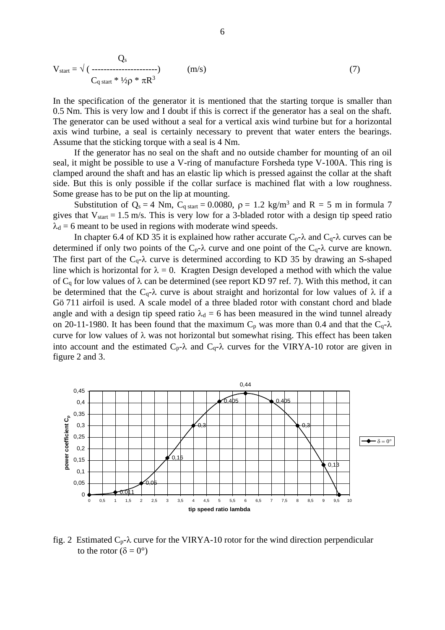$$
V_{\text{start}} = \sqrt{(}
$$
 ( ( ())
$$
V_{\text{start}} = \sqrt{(}
$$
 ( ())
$$
C_{q \text{ start}} * \frac{1}{2} \rho * \pi R^3
$$
 (7)

In the specification of the generator it is mentioned that the starting torque is smaller than 0.5 Nm. This is very low and I doubt if this is correct if the generator has a seal on the shaft. The generator can be used without a seal for a vertical axis wind turbine but for a horizontal axis wind turbine, a seal is certainly necessary to prevent that water enters the bearings. Assume that the sticking torque with a seal is 4 Nm.

If the generator has no seal on the shaft and no outside chamber for mounting of an oil seal, it might be possible to use a V-ring of manufacture Forsheda type V-100A. This ring is clamped around the shaft and has an elastic lip which is pressed against the collar at the shaft side. But this is only possible if the collar surface is machined flat with a low roughness. Some grease has to be put on the lip at mounting.

Substitution of  $Q_s = 4$  Nm,  $C_{q \text{ start}} = 0.0080$ ,  $\rho = 1.2$  kg/m<sup>3</sup> and R = 5 m in formula 7 gives that  $V_{start} = 1.5$  m/s. This is very low for a 3-bladed rotor with a design tip speed ratio  $\lambda_d = 6$  meant to be used in regions with moderate wind speeds.

In chapter 6.4 of KD 35 it is explained how rather accurate  $C_p$ - $\lambda$  and  $C_q$ - $\lambda$  curves can be determined if only two points of the  $C_p$ - $\lambda$  curve and one point of the  $C_q$ - $\lambda$  curve are known. The first part of the  $C_q$ - $\lambda$  curve is determined according to KD 35 by drawing an S-shaped line which is horizontal for  $\lambda = 0$ . Kragten Design developed a method with which the value of  $C_q$  for low values of  $\lambda$  can be determined (see report KD 97 ref. 7). With this method, it can be determined that the C<sub>q</sub>- $\lambda$  curve is about straight and horizontal for low values of  $\lambda$  if a Gö 711 airfoil is used. A scale model of a three bladed rotor with constant chord and blade angle and with a design tip speed ratio  $\lambda_d = 6$  has been measured in the wind tunnel already on 20-11-1980. It has been found that the maximum  $C_p$  was more than 0.4 and that the  $C_q$ - $\lambda$ curve for low values of  $\lambda$  was not horizontal but somewhat rising. This effect has been taken into account and the estimated  $C_p$ - $\lambda$  and  $C_q$ - $\lambda$  curves for the VIRYA-10 rotor are given in figure 2 and 3.



fig. 2 Estimated  $C_p$ - $\lambda$  curve for the VIRYA-10 rotor for the wind direction perpendicular to the rotor ( $\delta = 0^{\circ}$ )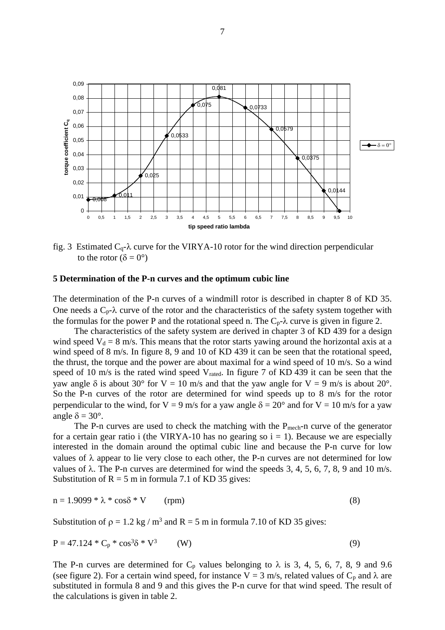

fig. 3 Estimated  $C_q$ - $\lambda$  curve for the VIRYA-10 rotor for the wind direction perpendicular to the rotor ( $\delta = 0^{\circ}$ )

#### **5 Determination of the P-n curves and the optimum cubic line**

The determination of the P-n curves of a windmill rotor is described in chapter 8 of KD 35. One needs a  $C_p$ - $\lambda$  curve of the rotor and the characteristics of the safety system together with the formulas for the power P and the rotational speed n. The  $C_p$ - $\lambda$  curve is given in figure 2.

The characteristics of the safety system are derived in chapter 3 of KD 439 for a design wind speed  $V_d = 8$  m/s. This means that the rotor starts yawing around the horizontal axis at a wind speed of 8 m/s. In figure 8, 9 and 10 of KD 439 it can be seen that the rotational speed, the thrust, the torque and the power are about maximal for a wind speed of 10 m/s. So a wind speed of 10 m/s is the rated wind speed V<sub>rated</sub>. In figure 7 of KD 439 it can be seen that the yaw angle  $\delta$  is about 30° for V = 10 m/s and that the yaw angle for V = 9 m/s is about 20°. So the P-n curves of the rotor are determined for wind speeds up to 8 m/s for the rotor perpendicular to the wind, for V = 9 m/s for a yaw angle  $\delta = 20^{\circ}$  and for V = 10 m/s for a yaw angle  $\delta = 30^\circ$ .

The P-n curves are used to check the matching with the  $P_{mech}$ -n curve of the generator for a certain gear ratio i (the VIRYA-10 has no gearing so  $i = 1$ ). Because we are especially interested in the domain around the optimal cubic line and because the P-n curve for low values of  $\lambda$  appear to lie very close to each other, the P-n curves are not determined for low values of  $\lambda$ . The P-n curves are determined for wind the speeds 3, 4, 5, 6, 7, 8, 9 and 10 m/s. Substitution of  $R = 5$  m in formula 7.1 of KD 35 gives:

$$
n = 1.9099 * \lambda * \cos\delta * V \qquad (rpm)
$$
 (8)

Substitution of  $p = 1.2$  kg / m<sup>3</sup> and R = 5 m in formula 7.10 of KD 35 gives:

$$
P = 47.124 \times C_p \times \cos^3 \delta \times V^3 \tag{9}
$$

The P-n curves are determined for  $C_p$  values belonging to  $\lambda$  is 3, 4, 5, 6, 7, 8, 9 and 9.6 (see figure 2). For a certain wind speed, for instance  $V = 3$  m/s, related values of  $C_p$  and  $\lambda$  are substituted in formula 8 and 9 and this gives the P-n curve for that wind speed. The result of the calculations is given in table 2.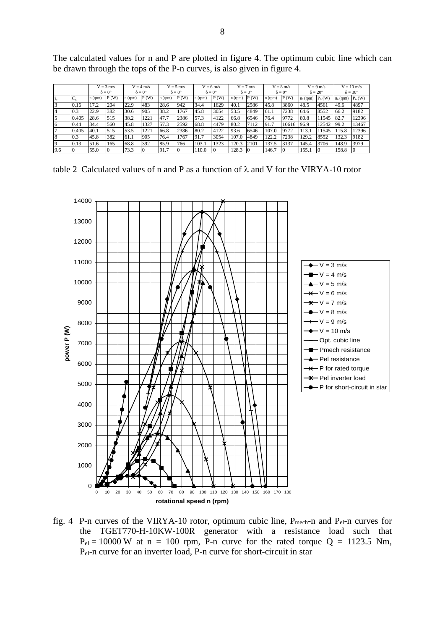|                |              | $V = 3$ m/s          |      | $V = 4$ m/s          |      | $V = 5$ m/s          |      | $V = 6$ m/s          |      | $V = 7$ m/s          |      | $V = 8$ m/s          |       | $V = 9$ m/s           |                  | $V = 10$ m/s          |                 |
|----------------|--------------|----------------------|------|----------------------|------|----------------------|------|----------------------|------|----------------------|------|----------------------|-------|-----------------------|------------------|-----------------------|-----------------|
|                |              | $\delta = 0^{\circ}$ |      | $\delta = 0^{\circ}$ |      | $\delta = 0^{\circ}$ |      | $\delta = 0^{\circ}$ |      | $\delta = 0^{\circ}$ |      | $\delta = 0^{\circ}$ |       | $\delta = 20^{\circ}$ |                  | $\delta = 30^{\circ}$ |                 |
| Iλ             | $\sim$<br>◡▫ | $n$ (rpm)            | P(W) | n(rpm)               | P(W) | $n$ (rpm)            | P(W) | n(rpm)               | P(W) | n(rpm)               | P(W) | n(rpm)               | P(W)  | $n_{\delta}$ (rpm)    | $P_{\delta}$ (W) | $n_{\delta}$ (rpm)    | $P_{\delta}(W)$ |
| $\overline{3}$ | 0.16         | 17.2                 | 204  | 22.9                 | 483  | 28.6                 | 942  | 34.4                 | 1629 | 40.1                 | 2586 | 45.8                 | 3860  | 48.5                  | 4561             | 49.6                  | 4897            |
| $\overline{4}$ | 0.3          | 22.9                 | 382  | 30.6                 | 905  | 38.2                 | 1767 | 45.8                 | 3054 | 53.5                 | 4849 | 61.1                 | 7238  | 64.6                  | 8552             | 66.2                  | 9182            |
| 5              | 0.405        | 28.6                 | 515  | 38.2                 | 1221 | 47.7                 | 2386 | 57.3                 | 4122 | 66.8                 | 6546 | 76.4                 | 9772  | 80.8                  | 11545            | 82.7                  | 12396           |
| 6              | 0.44         | 34.4                 | 560  | 45.8                 | 1327 | 57.3                 | 2592 | 68.8                 | 4479 | 80.2                 | 7112 | 91.7                 | 10616 | 96.9                  | 12542            | 99.2                  | 13467           |
| 7              | 0.405        | 40.1                 | 515  | 53.5                 | 1221 | 66.8                 | 2386 | 80.2                 | 4122 | 93.6                 | 6546 | 107.0                | 9772  | 13.1                  | 1545             | 115.8                 | 12396           |
| $\overline{8}$ | 0.3          | 45.8                 | 382  | 61.1                 | 905  | 76.4                 | 1767 | 91.7                 | 3054 | 107.0                | 4849 | 122.2                | 7238  | 129.2                 | 8552             | 132.3                 | 9182            |
| $\overline{9}$ | 0.13         | 51.6                 | 165  | 68.8                 | 392  | 85.9                 | 766  | 103.1                | 1323 | 120.3                | 2101 | 137.5                | 3137  | 145.4                 | 3706             | 148.9                 | 3979            |
| 9.6            |              | 55.0                 |      | 73.3                 |      | 91.7                 | Ю    | 110.0                |      | 128.3                |      | 146.7                |       | 155.1                 |                  | 158.8                 |                 |

The calculated values for n and P are plotted in figure 4. The optimum cubic line which can be drawn through the tops of the P-n curves, is also given in figure 4.

table 2 Calculated values of n and P as a function of  $\lambda$  and V for the VIRYA-10 rotor



fig. 4 P-n curves of the VIRYA-10 rotor, optimum cubic line,  $P_{mech}$ -n and  $P_{el}$ -n curves for the TGET770-H-10KW-100R generator with a resistance load such that  $P_{el} = 10000 \text{ W}$  at n = 100 rpm, P-n curve for the rated torque Q = 1123.5 Nm, Pel-n curve for an inverter load, P-n curve for short-circuit in star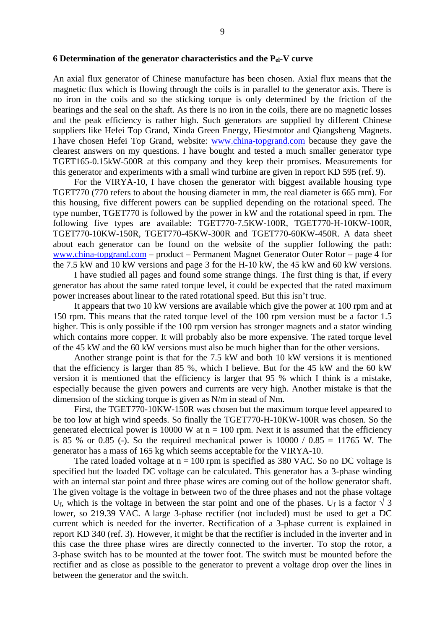#### **6 Determination of the generator characteristics and the Pel-V curve**

An axial flux generator of Chinese manufacture has been chosen. Axial flux means that the magnetic flux which is flowing through the coils is in parallel to the generator axis. There is no iron in the coils and so the sticking torque is only determined by the friction of the bearings and the seal on the shaft. As there is no iron in the coils, there are no magnetic losses and the peak efficiency is rather high. Such generators are supplied by different Chinese suppliers like Hefei Top Grand, Xinda Green Energy, Hiestmotor and Qiangsheng Magnets. I have chosen Hefei Top Grand, website: [www.china-topgrand.com](http://www.china-topgrand.com/) because they gave the clearest answers on my questions. I have bought and tested a much smaller generator type TGET165-0.15kW-500R at this company and they keep their promises. Measurements for this generator and experiments with a small wind turbine are given in report KD 595 (ref. 9).

For the VIRYA-10, I have chosen the generator with biggest available housing type TGET770 (770 refers to about the housing diameter in mm, the real diameter is 665 mm). For this housing, five different powers can be supplied depending on the rotational speed. The type number, TGET770 is followed by the power in kW and the rotational speed in rpm. The following five types are available: TGET770-7.5KW-100R, TGET770-H-10KW-100R, TGET770-10KW-150R, TGET770-45KW-300R and TGET770-60KW-450R. A data sheet about each generator can be found on the website of the supplier following the path: [www.china-topgrand.com](http://www.china-topgrand.com/) – product – Permanent Magnet Generator Outer Rotor – page 4 for the 7.5 kW and 10 kW versions and page 3 for the H-10 kW, the 45 kW and 60 kW versions.

I have studied all pages and found some strange things. The first thing is that, if every generator has about the same rated torque level, it could be expected that the rated maximum power increases about linear to the rated rotational speed. But this isn't true.

It appears that two 10 kW versions are available which give the power at 100 rpm and at 150 rpm. This means that the rated torque level of the 100 rpm version must be a factor 1.5 higher. This is only possible if the 100 rpm version has stronger magnets and a stator winding which contains more copper. It will probably also be more expensive. The rated torque level of the 45 kW and the 60 kW versions must also be much higher than for the other versions.

Another strange point is that for the 7.5 kW and both 10 kW versions it is mentioned that the efficiency is larger than 85 %, which I believe. But for the 45 kW and the 60 kW version it is mentioned that the efficiency is larger that 95 % which I think is a mistake, especially because the given powers and currents are very high. Another mistake is that the dimension of the sticking torque is given as N/m in stead of Nm.

First, the TGET770-10KW-150R was chosen but the maximum torque level appeared to be too low at high wind speeds. So finally the TGET770-H-10KW-100R was chosen. So the generated electrical power is 10000 W at  $n = 100$  rpm. Next it is assumed that the efficiency is 85 % or 0.85 (-). So the required mechanical power is  $10000 / 0.85 = 11765$  W. The generator has a mass of 165 kg which seems acceptable for the VIRYA-10.

The rated loaded voltage at  $n = 100$  rpm is specified as 380 VAC. So no DC voltage is specified but the loaded DC voltage can be calculated. This generator has a 3-phase winding with an internal star point and three phase wires are coming out of the hollow generator shaft. The given voltage is the voltage in between two of the three phases and not the phase voltage U<sub>f</sub>, which is the voltage in between the star point and one of the phases. U<sub>f</sub> is a factor  $\sqrt{3}$ lower, so 219.39 VAC. A large 3-phase rectifier (not included) must be used to get a DC current which is needed for the inverter. Rectification of a 3-phase current is explained in report KD 340 (ref. 3). However, it might be that the rectifier is included in the inverter and in this case the three phase wires are directly connected to the inverter. To stop the rotor, a 3-phase switch has to be mounted at the tower foot. The switch must be mounted before the rectifier and as close as possible to the generator to prevent a voltage drop over the lines in between the generator and the switch.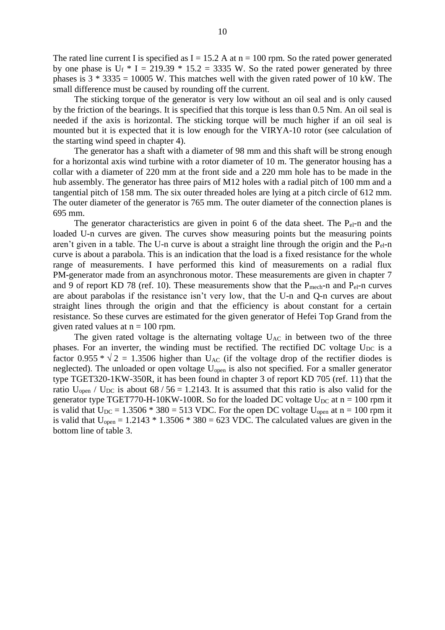The rated line current I is specified as  $I = 15.2$  A at  $n = 100$  rpm. So the rated power generated by one phase is  $U_f * I = 219.39 * 15.2 = 3335$  W. So the rated power generated by three phases is  $3 * 3335 = 10005$  W. This matches well with the given rated power of 10 kW. The small difference must be caused by rounding off the current.

The sticking torque of the generator is very low without an oil seal and is only caused by the friction of the bearings. It is specified that this torque is less than 0.5 Nm. An oil seal is needed if the axis is horizontal. The sticking torque will be much higher if an oil seal is mounted but it is expected that it is low enough for the VIRYA-10 rotor (see calculation of the starting wind speed in chapter 4).

The generator has a shaft with a diameter of 98 mm and this shaft will be strong enough for a horizontal axis wind turbine with a rotor diameter of 10 m. The generator housing has a collar with a diameter of 220 mm at the front side and a 220 mm hole has to be made in the hub assembly. The generator has three pairs of M12 holes with a radial pitch of 100 mm and a tangential pitch of 158 mm. The six outer threaded holes are lying at a pitch circle of 612 mm. The outer diameter of the generator is 765 mm. The outer diameter of the connection planes is 695 mm.

The generator characteristics are given in point 6 of the data sheet. The  $P_{el}$ -n and the loaded U-n curves are given. The curves show measuring points but the measuring points aren't given in a table. The U-n curve is about a straight line through the origin and the Pel-n curve is about a parabola. This is an indication that the load is a fixed resistance for the whole range of measurements. I have performed this kind of measurements on a radial flux PM-generator made from an asynchronous motor. These measurements are given in chapter 7 and 9 of report KD 78 (ref. 10). These measurements show that the  $P_{mech}$ -n and  $P_{el}$ -n curves are about parabolas if the resistance isn't very low, that the U-n and Q-n curves are about straight lines through the origin and that the efficiency is about constant for a certain resistance. So these curves are estimated for the given generator of Hefei Top Grand from the given rated values at  $n = 100$  rpm.

The given rated voltage is the alternating voltage  $U_{AC}$  in between two of the three phases. For an inverter, the winding must be rectified. The rectified DC voltage  $U_{DC}$  is a factor 0.955  $*\sqrt{2}$  = 1.3506 higher than U<sub>AC</sub> (if the voltage drop of the rectifier diodes is neglected). The unloaded or open voltage U<sub>open</sub> is also not specified. For a smaller generator type TGET320-1KW-350R, it has been found in chapter 3 of report KD 705 (ref. 11) that the ratio U<sub>open</sub> / U<sub>DC</sub> is about  $68 / 56 = 1.2143$ . It is assumed that this ratio is also valid for the generator type TGET770-H-10KW-100R. So for the loaded DC voltage  $U_{DC}$  at n = 100 rpm it is valid that  $U_{DC} = 1.3506 * 380 = 513 \text{ VDC}$ . For the open DC voltage  $U_{open}$  at n = 100 rpm it is valid that  $U_{open} = 1.2143 * 1.3506 * 380 = 623 \text{ VDC}$ . The calculated values are given in the bottom line of table 3.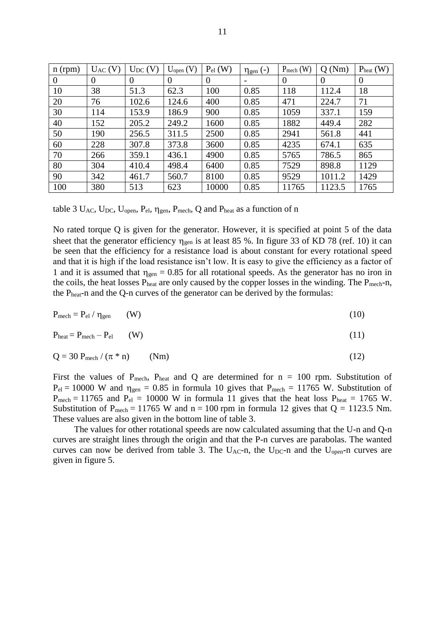| $n$ (rpm) | $U_{AC} (V)$ | $U_{DC} (V)$ | $U_{open} (V)$ | $P_{el}$ (W) | $\eta_{gen}$ (-) | $P_{mech}$ (W) | Q(Nm)    | $P_{heat}$ (W) |
|-----------|--------------|--------------|----------------|--------------|------------------|----------------|----------|----------------|
| $\theta$  | $\theta$     | $\Omega$     | $\Omega$       | $\Omega$     |                  | $\Omega$       | $\Omega$ | $\theta$       |
| 10        | 38           | 51.3         | 62.3           | 100          | 0.85             | 118            | 112.4    | 18             |
| 20        | 76           | 102.6        | 124.6          | 400          | 0.85             | 471            | 224.7    | 71             |
| 30        | 114          | 153.9        | 186.9          | 900          | 0.85             | 1059           | 337.1    | 159            |
| 40        | 152          | 205.2        | 249.2          | 1600         | 0.85             | 1882           | 449.4    | 282            |
| 50        | 190          | 256.5        | 311.5          | 2500         | 0.85             | 2941           | 561.8    | 441            |
| 60        | 228          | 307.8        | 373.8          | 3600         | 0.85             | 4235           | 674.1    | 635            |
| 70        | 266          | 359.1        | 436.1          | 4900         | 0.85             | 5765           | 786.5    | 865            |
| 80        | 304          | 410.4        | 498.4          | 6400         | 0.85             | 7529           | 898.8    | 1129           |
| 90        | 342          | 461.7        | 560.7          | 8100         | 0.85             | 9529           | 1011.2   | 1429           |
| 100       | 380          | 513          | 623            | 10000        | 0.85             | 11765          | 1123.5   | 1765           |

table 3  $U_{AC}$ ,  $U_{DC}$ ,  $U_{open}$ ,  $P_{el}$ ,  $\eta_{gen}$ ,  $P_{mech}$ , Q and  $P_{heat}$  as a function of n

No rated torque Q is given for the generator. However, it is specified at point 5 of the data sheet that the generator efficiency  $\eta_{gen}$  is at least 85 %. In figure 33 of KD 78 (ref. 10) it can be seen that the efficiency for a resistance load is about constant for every rotational speed and that it is high if the load resistance isn't low. It is easy to give the efficiency as a factor of 1 and it is assumed that  $\eta_{gen} = 0.85$  for all rotational speeds. As the generator has no iron in the coils, the heat losses P<sub>heat</sub> are only caused by the copper losses in the winding. The P<sub>mech</sub>-n, the Pheat-n and the Q-n curves of the generator can be derived by the formulas:

$$
P_{\text{mech}} = P_{\text{el}} / \eta_{\text{gen}} \qquad (W) \tag{10}
$$

$$
P_{\text{heat}} = P_{\text{mech}} - P_{\text{el}} \qquad (W) \tag{11}
$$

$$
Q = 30 P_{\text{mech}} / (\pi * n) \qquad (Nm)
$$
 (12)

First the values of  $P_{mech}$ ,  $P_{heat}$  and Q are determined for  $n = 100$  rpm. Substitution of  $P_{el} = 10000$  W and  $\eta_{gen} = 0.85$  in formula 10 gives that  $P_{mech} = 11765$  W. Substitution of  $P_{mech} = 11765$  and  $P_{el} = 10000$  W in formula 11 gives that the heat loss  $P_{heat} = 1765$  W. Substitution of P<sub>mech</sub> = 11765 W and n = 100 rpm in formula 12 gives that  $Q = 1123.5$  Nm. These values are also given in the bottom line of table 3.

The values for other rotational speeds are now calculated assuming that the U-n and Q-n curves are straight lines through the origin and that the P-n curves are parabolas. The wanted curves can now be derived from table 3. The  $U_{AC}$ -n, the  $U_{DC}$ -n and the  $U_{open}$ -n curves are given in figure 5.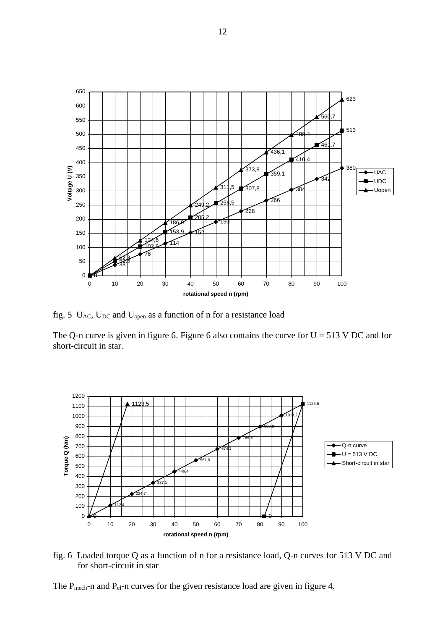

fig. 5 UAC, UDC and Uopen as a function of n for a resistance load

The Q-n curve is given in figure 6. Figure 6 also contains the curve for  $U = 513$  V DC and for short-circuit in star.



fig. 6 Loaded torque Q as a function of n for a resistance load, Q-n curves for 513 V DC and for short-circuit in star

The P<sub>mech</sub>-n and P<sub>el</sub>-n curves for the given resistance load are given in figure 4.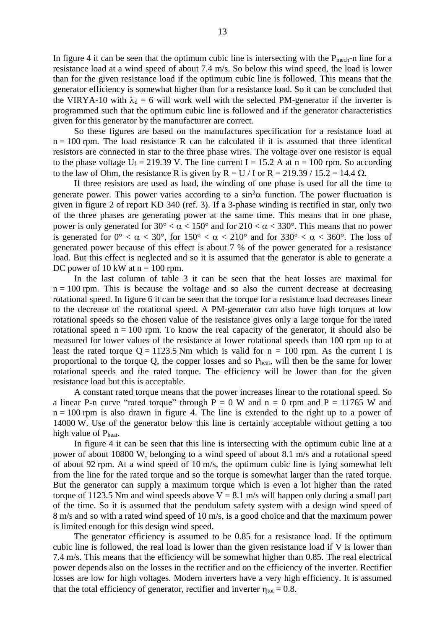In figure 4 it can be seen that the optimum cubic line is intersecting with the  $P_{mech}$ -n line for a resistance load at a wind speed of about 7.4 m/s. So below this wind speed, the load is lower than for the given resistance load if the optimum cubic line is followed. This means that the generator efficiency is somewhat higher than for a resistance load. So it can be concluded that the VIRYA-10 with  $\lambda_d = 6$  will work well with the selected PM-generator if the inverter is programmed such that the optimum cubic line is followed and if the generator characteristics given for this generator by the manufacturer are correct.

So these figures are based on the manufactures specification for a resistance load at  $n = 100$  rpm. The load resistance R can be calculated if it is assumed that three identical resistors are connected in star to the three phase wires. The voltage over one resistor is equal to the phase voltage  $U_f = 219.39$  V. The line current I = 15.2 A at n = 100 rpm. So according to the law of Ohm, the resistance R is given by  $R = U / I$  or  $R = 219.39 / 15.2 = 14.4 \Omega$ .

If three resistors are used as load, the winding of one phase is used for all the time to generate power. This power varies according to a  $\sin^2\alpha$  function. The power fluctuation is given in figure 2 of report KD 340 (ref. 3). If a 3-phase winding is rectified in star, only two of the three phases are generating power at the same time. This means that in one phase, power is only generated for  $30^{\circ} < \alpha < 150^{\circ}$  and for  $210 < \alpha < 330^{\circ}$ . This means that no power is generated for  $0^{\circ} < \alpha < 30^{\circ}$ , for  $150^{\circ} < \alpha < 210^{\circ}$  and for  $330^{\circ} < \alpha < 360^{\circ}$ . The loss of generated power because of this effect is about 7 % of the power generated for a resistance load. But this effect is neglected and so it is assumed that the generator is able to generate a DC power of 10 kW at  $n = 100$  rpm.

In the last column of table 3 it can be seen that the heat losses are maximal for  $n = 100$  rpm. This is because the voltage and so also the current decrease at decreasing rotational speed. In figure 6 it can be seen that the torque for a resistance load decreases linear to the decrease of the rotational speed. A PM-generator can also have high torques at low rotational speeds so the chosen value of the resistance gives only a large torque for the rated rotational speed  $n = 100$  rpm. To know the real capacity of the generator, it should also be measured for lower values of the resistance at lower rotational speeds than 100 rpm up to at least the rated torque  $Q = 1123.5$  Nm which is valid for  $n = 100$  rpm. As the current I is proportional to the torque Q, the copper losses and so Pheat, will then be the same for lower rotational speeds and the rated torque. The efficiency will be lower than for the given resistance load but this is acceptable.

A constant rated torque means that the power increases linear to the rotational speed. So a linear P-n curve "rated torque" through  $P = 0$  W and  $n = 0$  rpm and  $P = 11765$  W and  $n = 100$  rpm is also drawn in figure 4. The line is extended to the right up to a power of 14000 W. Use of the generator below this line is certainly acceptable without getting a too high value of Pheat.

In figure 4 it can be seen that this line is intersecting with the optimum cubic line at a power of about 10800 W, belonging to a wind speed of about 8.1 m/s and a rotational speed of about 92 rpm. At a wind speed of 10 m/s, the optimum cubic line is lying somewhat left from the line for the rated torque and so the torque is somewhat larger than the rated torque. But the generator can supply a maximum torque which is even a lot higher than the rated torque of 1123.5 Nm and wind speeds above  $V = 8.1$  m/s will happen only during a small part of the time. So it is assumed that the pendulum safety system with a design wind speed of 8 m/s and so with a rated wind speed of 10 m/s, is a good choice and that the maximum power is limited enough for this design wind speed.

The generator efficiency is assumed to be 0.85 for a resistance load. If the optimum cubic line is followed, the real load is lower than the given resistance load if V is lower than 7.4 m/s. This means that the efficiency will be somewhat higher than 0.85. The real electrical power depends also on the losses in the rectifier and on the efficiency of the inverter. Rectifier losses are low for high voltages. Modern inverters have a very high efficiency. It is assumed that the total efficiency of generator, rectifier and inverter  $\eta_{\text{tot}} = 0.8$ .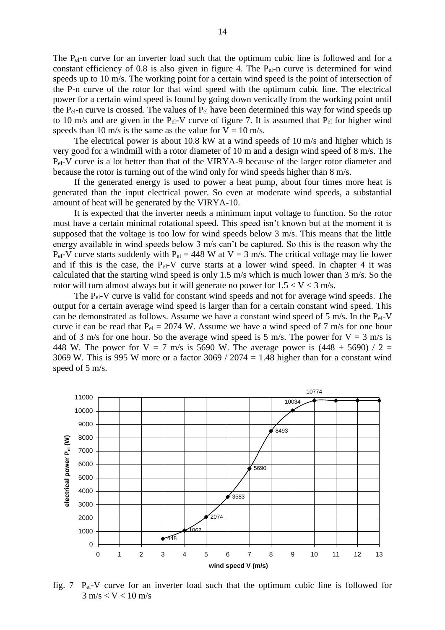The P<sub>el</sub>-n curve for an inverter load such that the optimum cubic line is followed and for a constant efficiency of 0.8 is also given in figure 4. The P<sub>el</sub>-n curve is determined for wind speeds up to 10 m/s. The working point for a certain wind speed is the point of intersection of the P-n curve of the rotor for that wind speed with the optimum cubic line. The electrical power for a certain wind speed is found by going down vertically from the working point until the  $P_{el}$ -n curve is crossed. The values of  $P_{el}$  have been determined this way for wind speeds up to 10 m/s and are given in the  $P_{el}$ -V curve of figure 7. It is assumed that  $P_{el}$  for higher wind speeds than 10 m/s is the same as the value for  $V = 10$  m/s.

The electrical power is about 10.8 kW at a wind speeds of 10 m/s and higher which is very good for a windmill with a rotor diameter of 10 m and a design wind speed of 8 m/s. The P<sub>el</sub>-V curve is a lot better than that of the VIRYA-9 because of the larger rotor diameter and because the rotor is turning out of the wind only for wind speeds higher than 8 m/s.

If the generated energy is used to power a heat pump, about four times more heat is generated than the input electrical power. So even at moderate wind speeds, a substantial amount of heat will be generated by the VIRYA-10.

It is expected that the inverter needs a minimum input voltage to function. So the rotor must have a certain minimal rotational speed. This speed isn't known but at the moment it is supposed that the voltage is too low for wind speeds below 3 m/s. This means that the little energy available in wind speeds below 3 m/s can't be captured. So this is the reason why the P<sub>el</sub>-V curve starts suddenly with P<sub>el</sub> = 448 W at V = 3 m/s. The critical voltage may lie lower and if this is the case, the  $P_{el}-V$  curve starts at a lower wind speed. In chapter 4 it was calculated that the starting wind speed is only 1.5 m/s which is much lower than 3 m/s. So the rotor will turn almost always but it will generate no power for  $1.5 < V < 3$  m/s.

The  $P_{el}-V$  curve is valid for constant wind speeds and not for average wind speeds. The output for a certain average wind speed is larger than for a certain constant wind speed. This can be demonstrated as follows. Assume we have a constant wind speed of 5 m/s. In the  $P_{el}$ -V curve it can be read that  $P_{el} = 2074$  W. Assume we have a wind speed of 7 m/s for one hour and of 3 m/s for one hour. So the average wind speed is 5 m/s. The power for  $V = 3$  m/s is 448 W. The power for  $V = 7$  m/s is 5690 W. The average power is (448 + 5690) / 2 = 3069 W. This is 995 W more or a factor  $3069 / 2074 = 1.48$  higher than for a constant wind speed of 5 m/s.



fig. 7  $P_{el}$ -V curve for an inverter load such that the optimum cubic line is followed for  $3 \text{ m/s} < V < 10 \text{ m/s}$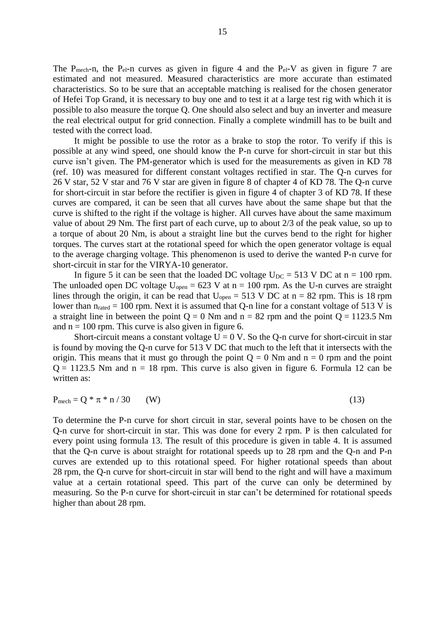The P<sub>mech</sub>-n, the P<sub>el</sub>-n curves as given in figure 4 and the P<sub>el</sub>-V as given in figure 7 are estimated and not measured. Measured characteristics are more accurate than estimated characteristics. So to be sure that an acceptable matching is realised for the chosen generator of Hefei Top Grand, it is necessary to buy one and to test it at a large test rig with which it is possible to also measure the torque Q. One should also select and buy an inverter and measure the real electrical output for grid connection. Finally a complete windmill has to be built and tested with the correct load.

It might be possible to use the rotor as a brake to stop the rotor. To verify if this is possible at any wind speed, one should know the P-n curve for short-circuit in star but this curve isn't given. The PM-generator which is used for the measurements as given in KD 78 (ref. 10) was measured for different constant voltages rectified in star. The Q-n curves for 26 V star, 52 V star and 76 V star are given in figure 8 of chapter 4 of KD 78. The Q-n curve for short-circuit in star before the rectifier is given in figure 4 of chapter 3 of KD 78. If these curves are compared, it can be seen that all curves have about the same shape but that the curve is shifted to the right if the voltage is higher. All curves have about the same maximum value of about 29 Nm. The first part of each curve, up to about 2/3 of the peak value, so up to a torque of about 20 Nm, is about a straight line but the curves bend to the right for higher torques. The curves start at the rotational speed for which the open generator voltage is equal to the average charging voltage. This phenomenon is used to derive the wanted P-n curve for short-circuit in star for the VIRYA-10 generator.

In figure 5 it can be seen that the loaded DC voltage  $U_{DC} = 513$  V DC at n = 100 rpm. The unloaded open DC voltage  $U_{open} = 623$  V at  $n = 100$  rpm. As the U-n curves are straight lines through the origin, it can be read that  $U_{open} = 513$  V DC at  $n = 82$  rpm. This is 18 rpm lower than  $n_{\text{rated}} = 100$  rpm. Next it is assumed that Q-n line for a constant voltage of 513 V is a straight line in between the point  $Q = 0$  Nm and  $n = 82$  rpm and the point  $Q = 1123.5$  Nm and  $n = 100$  rpm. This curve is also given in figure 6.

Short-circuit means a constant voltage  $U = 0$  V. So the Q-n curve for short-circuit in star is found by moving the Q-n curve for 513 V DC that much to the left that it intersects with the origin. This means that it must go through the point  $Q = 0$  Nm and  $n = 0$  rpm and the point  $Q = 1123.5$  Nm and  $n = 18$  rpm. This curve is also given in figure 6. Formula 12 can be written as:

$$
P_{mech} = Q * \pi * n / 30 \qquad (W)
$$
\n
$$
(13)
$$

To determine the P-n curve for short circuit in star, several points have to be chosen on the Q-n curve for short-circuit in star. This was done for every 2 rpm. P is then calculated for every point using formula 13. The result of this procedure is given in table 4. It is assumed that the Q-n curve is about straight for rotational speeds up to 28 rpm and the Q-n and P-n curves are extended up to this rotational speed. For higher rotational speeds than about 28 rpm, the Q-n curve for short-circuit in star will bend to the right and will have a maximum value at a certain rotational speed. This part of the curve can only be determined by measuring. So the P-n curve for short-circuit in star can't be determined for rotational speeds higher than about 28 rpm.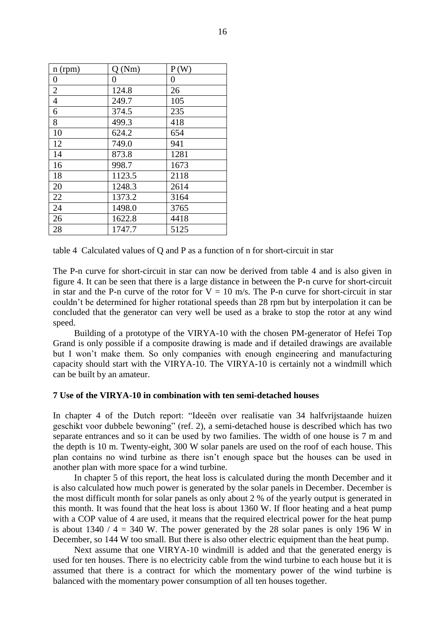| n (rpm)        | Q(Nm)  | P(W) |
|----------------|--------|------|
| 0              | 0      | 0    |
| $\overline{2}$ | 124.8  | 26   |
| $\overline{4}$ | 249.7  | 105  |
| 6              | 374.5  | 235  |
| 8              | 499.3  | 418  |
| 10             | 624.2  | 654  |
| 12             | 749.0  | 941  |
| 14             | 873.8  | 1281 |
| 16             | 998.7  | 1673 |
| 18             | 1123.5 | 2118 |
| 20             | 1248.3 | 2614 |
| 22             | 1373.2 | 3164 |
| 24             | 1498.0 | 3765 |
| 26             | 1622.8 | 4418 |
| 28             | 1747.7 | 5125 |

table 4 Calculated values of Q and P as a function of n for short-circuit in star

The P-n curve for short-circuit in star can now be derived from table 4 and is also given in figure 4. It can be seen that there is a large distance in between the P-n curve for short-circuit in star and the P-n curve of the rotor for  $V = 10$  m/s. The P-n curve for short-circuit in star couldn't be determined for higher rotational speeds than 28 rpm but by interpolation it can be concluded that the generator can very well be used as a brake to stop the rotor at any wind speed.

Building of a prototype of the VIRYA-10 with the chosen PM-generator of Hefei Top Grand is only possible if a composite drawing is made and if detailed drawings are available but I won't make them. So only companies with enough engineering and manufacturing capacity should start with the VIRYA-10. The VIRYA-10 is certainly not a windmill which can be built by an amateur.

### **7 Use of the VIRYA-10 in combination with ten semi-detached houses**

In chapter 4 of the Dutch report: "Ideeën over realisatie van 34 halfvrijstaande huizen geschikt voor dubbele bewoning" (ref. 2), a semi-detached house is described which has two separate entrances and so it can be used by two families. The width of one house is 7 m and the depth is 10 m. Twenty-eight, 300 W solar panels are used on the roof of each house. This plan contains no wind turbine as there isn't enough space but the houses can be used in another plan with more space for a wind turbine.

In chapter 5 of this report, the heat loss is calculated during the month December and it is also calculated how much power is generated by the solar panels in December. December is the most difficult month for solar panels as only about 2 % of the yearly output is generated in this month. It was found that the heat loss is about 1360 W. If floor heating and a heat pump with a COP value of 4 are used, it means that the required electrical power for the heat pump is about 1340 /  $4 = 340$  W. The power generated by the 28 solar panes is only 196 W in December, so 144 W too small. But there is also other electric equipment than the heat pump.

Next assume that one VIRYA-10 windmill is added and that the generated energy is used for ten houses. There is no electricity cable from the wind turbine to each house but it is assumed that there is a contract for which the momentary power of the wind turbine is balanced with the momentary power consumption of all ten houses together.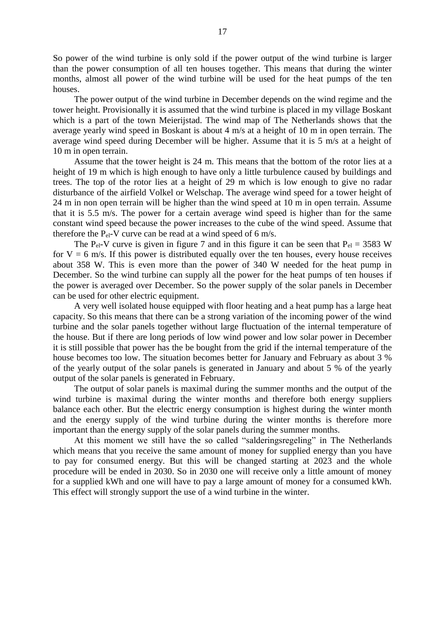So power of the wind turbine is only sold if the power output of the wind turbine is larger than the power consumption of all ten houses together. This means that during the winter months, almost all power of the wind turbine will be used for the heat pumps of the ten houses.

The power output of the wind turbine in December depends on the wind regime and the tower height. Provisionally it is assumed that the wind turbine is placed in my village Boskant which is a part of the town Meierijstad. The wind map of The Netherlands shows that the average yearly wind speed in Boskant is about 4 m/s at a height of 10 m in open terrain. The average wind speed during December will be higher. Assume that it is 5 m/s at a height of 10 m in open terrain.

Assume that the tower height is 24 m. This means that the bottom of the rotor lies at a height of 19 m which is high enough to have only a little turbulence caused by buildings and trees. The top of the rotor lies at a height of 29 m which is low enough to give no radar disturbance of the airfield Volkel or Welschap. The average wind speed for a tower height of 24 m in non open terrain will be higher than the wind speed at 10 m in open terrain. Assume that it is 5.5 m/s. The power for a certain average wind speed is higher than for the same constant wind speed because the power increases to the cube of the wind speed. Assume that therefore the  $P_{el}$ -V curve can be read at a wind speed of 6 m/s.

The P<sub>el</sub>-V curve is given in figure 7 and in this figure it can be seen that  $P_{el} = 3583$  W for  $V = 6$  m/s. If this power is distributed equally over the ten houses, every house receives about 358 W. This is even more than the power of 340 W needed for the heat pump in December. So the wind turbine can supply all the power for the heat pumps of ten houses if the power is averaged over December. So the power supply of the solar panels in December can be used for other electric equipment.

A very well isolated house equipped with floor heating and a heat pump has a large heat capacity. So this means that there can be a strong variation of the incoming power of the wind turbine and the solar panels together without large fluctuation of the internal temperature of the house. But if there are long periods of low wind power and low solar power in December it is still possible that power has the be bought from the grid if the internal temperature of the house becomes too low. The situation becomes better for January and February as about 3 % of the yearly output of the solar panels is generated in January and about 5 % of the yearly output of the solar panels is generated in February.

The output of solar panels is maximal during the summer months and the output of the wind turbine is maximal during the winter months and therefore both energy suppliers balance each other. But the electric energy consumption is highest during the winter month and the energy supply of the wind turbine during the winter months is therefore more important than the energy supply of the solar panels during the summer months.

At this moment we still have the so called "salderingsregeling" in The Netherlands which means that you receive the same amount of money for supplied energy than you have to pay for consumed energy. But this will be changed starting at 2023 and the whole procedure will be ended in 2030. So in 2030 one will receive only a little amount of money for a supplied kWh and one will have to pay a large amount of money for a consumed kWh. This effect will strongly support the use of a wind turbine in the winter.